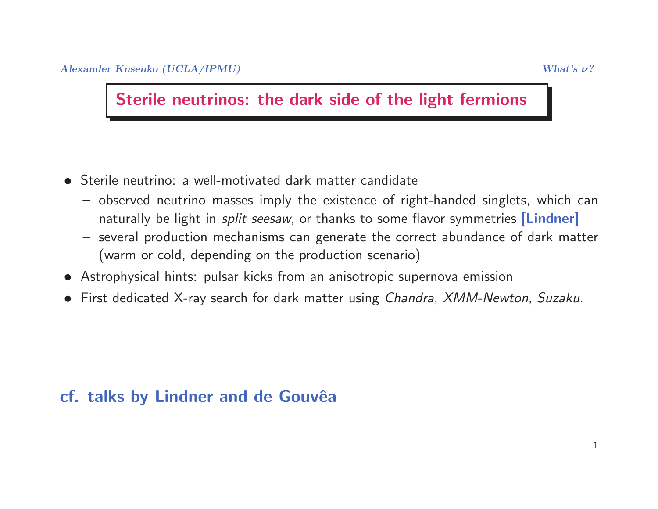#### Sterile neutrinos: the dark side of the light fermions

- Sterile neutrino: <sup>a</sup> well-motivated dark matter candidate
	- observed neutrino masses imply the existence of right-handed singlets, which can naturally be light in *split seesaw*, or thanks to some flavor symmetries <mark>[Lindner]</mark>
	- several production mechanisms can generate the correct abundance of dark matter (warm or cold, depending on the production scenario)
- Astrophysical hints: pulsar kicks from an anisotropic supernova emission
- First dedicated X-ray search for dark matter using Chandra, XMM-Newton, Suzaku.

### cf. talks by Lindner and de Gouvêa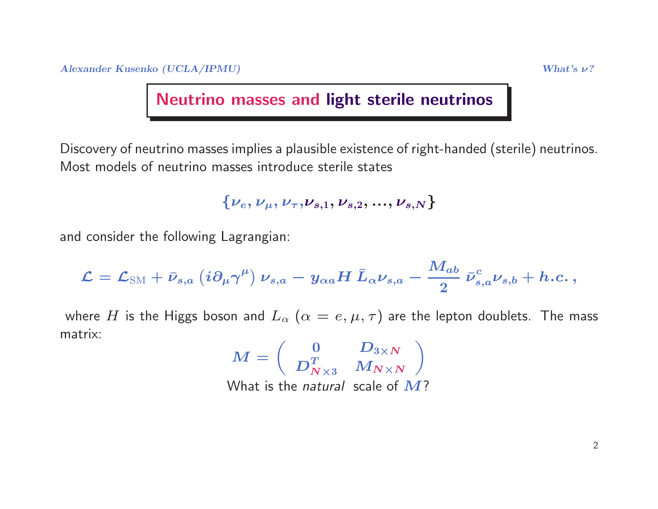# Neutrino masses and light sterile neutrinos

Discovery of neutrino masses implies <sup>a</sup> plausible existence of right-handed (sterile) neutrinos. Most models of neutrino masses introduce sterile states

$$
\{\nu_e, \nu_{\mu}, \nu_{\tau}, \nu_{s,1}, \nu_{s,2}, ..., \nu_{s,N}\}
$$

and consider the following Lagrangian:

$$
\mathcal{L} = \mathcal{L}_{\text{SM}} + \bar{\nu}_{s,a} \left( i \partial_\mu \gamma^\mu \right) \nu_{s,a} - y_{\alpha a} H \: \bar{L}_\alpha \nu_{s,a} - \frac{M_{ab}}{2} \: \bar{\nu}_{s,a}^c \nu_{s,b} + h.c. \, ,
$$

where  $H$  is the Higgs boson and  $L_\alpha$   $(\alpha=e,\mu,\tau)$  are the lepton doublets. The mass<br>eatrix: matrix:

$$
M = \begin{pmatrix} 0 & D_{3 \times N} \\ D_{N \times 3}^T & M_{N \times N} \end{pmatrix}
$$
  
What is the *natural* scale of M?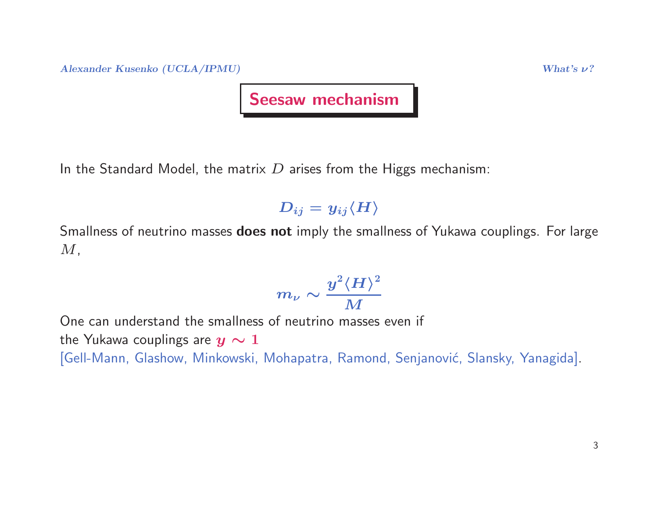Alexander Kusenko (UCLA/IPMU)  $What's \nu?$ 

#### Seesaw mechanism

In the Standard Model, the matrix  $D$  arises from the Higgs mechanism:

 $D_{ij} = y_{ij} \langle H \rangle$ 

Smallness of neutrino masses does not imply the smallness of Yukawa couplings. For large  $M,$ 

$$
m_\nu\sim\frac{y^2\langle H\rangle^2}{M}
$$

One can understand the smallness of neutrino masses even if the Yukawa couplings are  $y \sim 1$ [Gell-Mann, Glashow, Minkowski, Mohapatra, Ramond, Senjanović, Slansky, Yanagida].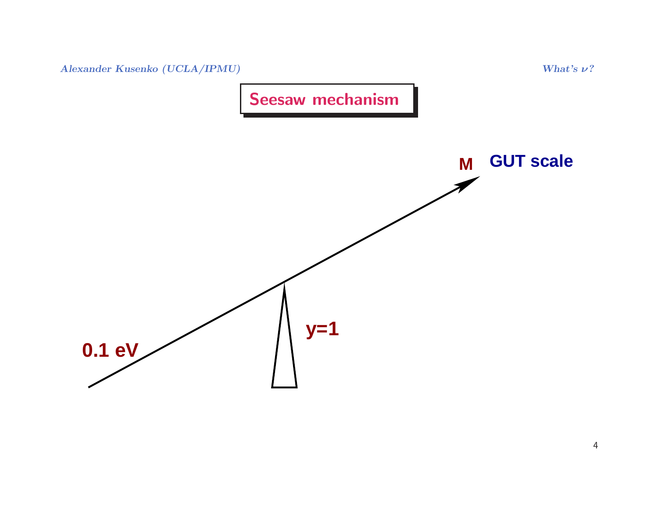

Seesaw mechanism

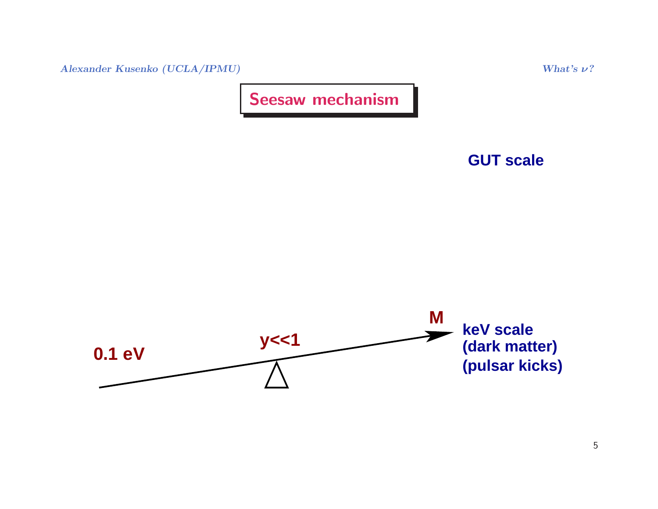$\Lambda$ lexander Kusenko (UCLA/IPMU) What's  $\nu$ ?

Seesaw mechanism



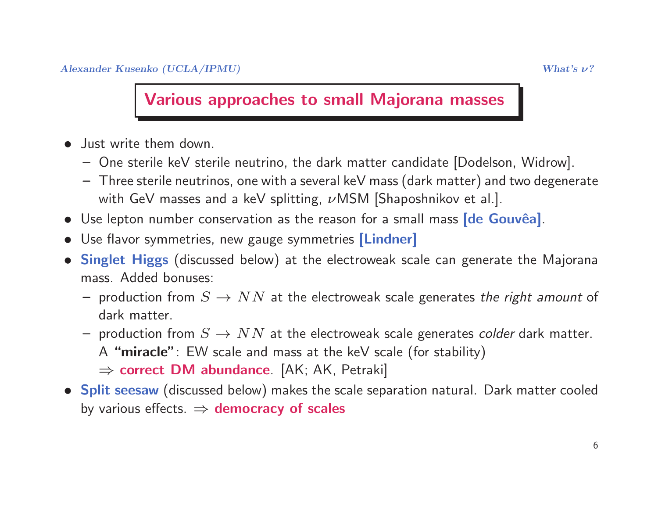#### Various approaches to small Majorana masses

- Just write them down.
	- One sterile keV sterile neutrino, the dark matter candidate [Dodelson, Widrow].
	- $-$  Three sterile neutrinos, one with a several keV mass (dark matter) and two degenerate with GeV masses and a keV splitting,  $\nu$ MSM [Shaposhnikov et al.].
- $\bullet\,$  Use lepton number conservation as the reason for a small mass  $[{\rm de}\,\,{\rm Gouv\hat e a}]$ .
- Use flavor symmetries, new gauge symmetries [Lindner]
- **Singlet Higgs** (discussed below) at the electroweak scale can generate the Majorana mass. Added bonuses:
	- production from  $S \to NN$  at the electroweak scale generates *the right amount* of<br>dark matter dark matter.
	- production from  $S \to NN$  at the electroweak scale generates *colder* dark matter.<br>A "miracle" · FW scale and mass at the keV scale (for stability)
		- A "miracle": EW scale and mass at the keV scale (for stability)
		- ⇒ correct DM abundance. [AK; AK, Petraki]<br>Iit soosaw (discussed below) makes the scale sep
- Split seesaw (discussed below) makes the scale separation natural. Dark matter cooled by various effects.  $\Rightarrow$  democracy of scales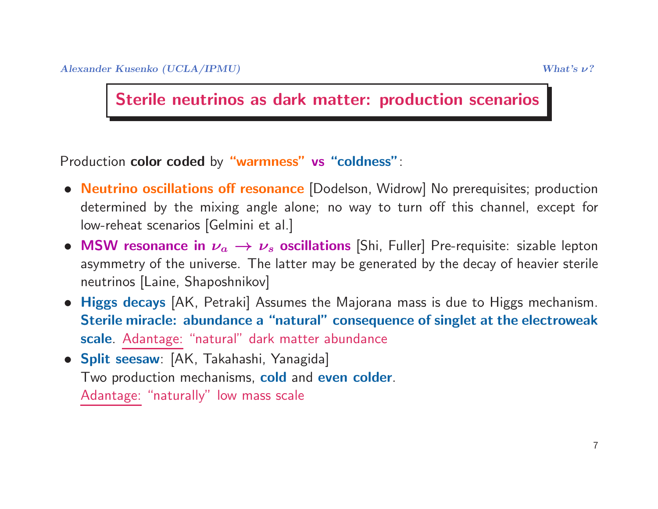Sterile neutrinos as dark matter: production scenarios

Production **color coded** by **"warmness" vs "coldness"**:

- **Neutrino oscillations off resonance** [Dodelson, Widrow] No prerequisites; production determined by the mixing angle alone; no way to turn off this channel, except for low-reheat scenarios [Gelmini et al.]
- MSW resonance in  $\nu_a \rightarrow \nu_s$  oscillations [Shi, Fuller] Pre-requisite: sizable lepton<br>asymmetry of the universe. The latter may be generated by the decay of heavier sterile asymmetry of the universe. The latter may be generated by the decay of heavier sterile neutrinos [Laine, Shaposhnikov]
- Higgs decays [AK, Petraki] Assumes the Majorana mass is due to Higgs mechanism. Sterile miracle: abundance <sup>a</sup> "natural" consequence of singlet at the electroweak<mark>scale</mark>. <u>Adantage:</u> "natural" dark matter abundance
- Split seesaw: [AK, Takahashi, Yanagida] Two production mechanisms, c<mark>old</mark> and even colder. Adantage: "naturally" low mass scale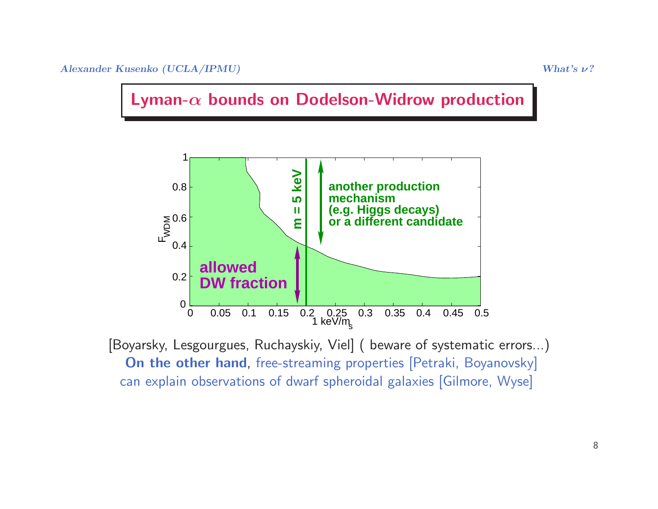



[Boyarsky, Lesgourgues, Ruchayskiy, Viel] ( beware of systematic errors...) On the other hand, free-streaming properties [Petraki, Boyanovsky] can explain observations of dwarf spheroidal galaxies [Gilmore, Wyse]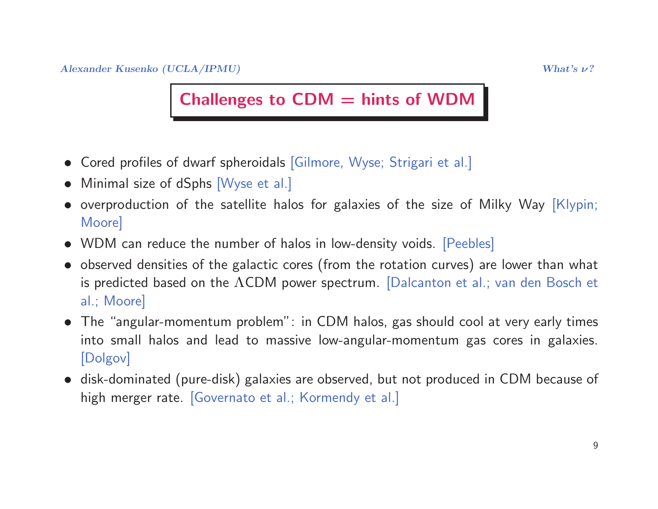### Challenges to  $CDM =$  hints of WDM

- Cored profiles of dwarf spheroidals [Gilmore, Wyse; Strigari et al.]
- Minimal size of dSphs [Wyse et al.]
- overproduction of the satellite halos for galaxies of the size of Milky Way [Klypin; Moore]
- WDM can reduce the number of halos in low-density voids. [Peebles]
- observed densities of the galactic cores (from the rotation curves) are lower than what is predicted based on the  $\Lambda$ CDM power spectrum. [Dalcanton et al.; van den Bosch et al.; Moore]
- The "angular-momentum problem": in CDM halos, gas should cool at very early times into small halos and lead to massive low-angular-momentum gas cores in galaxies. [Dolgov]
- disk-dominated (pure-disk) galaxies are observed, but not produced in CDM because of high merger rate. [Governato et al.; Kormendy et al.]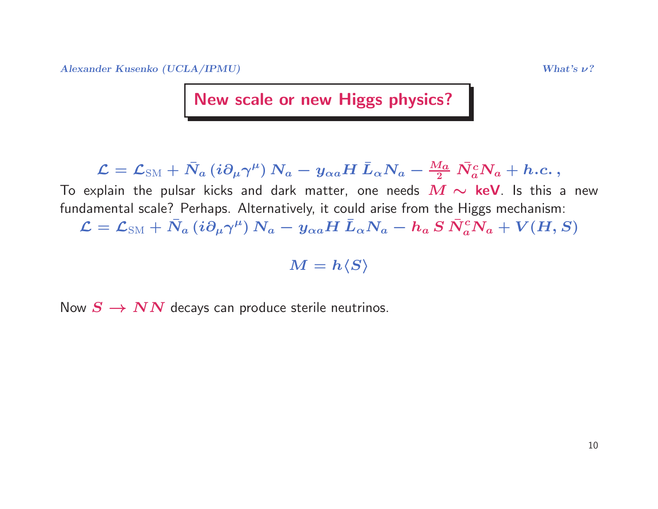$\Lambda$ lexander Kusenko (UCLA/IPMU) What's  $\nu$ ?

New scale or new Higgs physics?

 $\mathcal{L} = \mathcal{L}_{\text{SM}} + \bar{N}_a \left( i \partial_\mu \gamma^\mu \right) N_a - y_{\alpha a} H \, \bar{L}_\alpha N_a - \frac{M_a}{2} \, \bar{N}_a^c N_a + h.c. \,,$ 

To explain the pulsar kicks and dark matter, one needs  $\bm{M}\thicksim$  **keV**. Is this a new<br>fundamental scale? Perhaps. Alternativelv it could arise from the Higgs mechanism: fundamental scale? Perhaps. Alternatively, it could arise from the Higgs mechanism:  $\mathcal{L} = \mathcal{L}_{\text{SM}} + \bar{N}_a \left( i \partial_\mu \gamma^\mu \right) N_a - y_{\alpha a} H \, \bar{L}_\alpha N_a - h_a \, S \, \bar{N}_a^c N_a + V(H,S)$ 

 $M = h\langle S \rangle$ 

Now  $S \to NN$  decays can produce sterile neutrinos.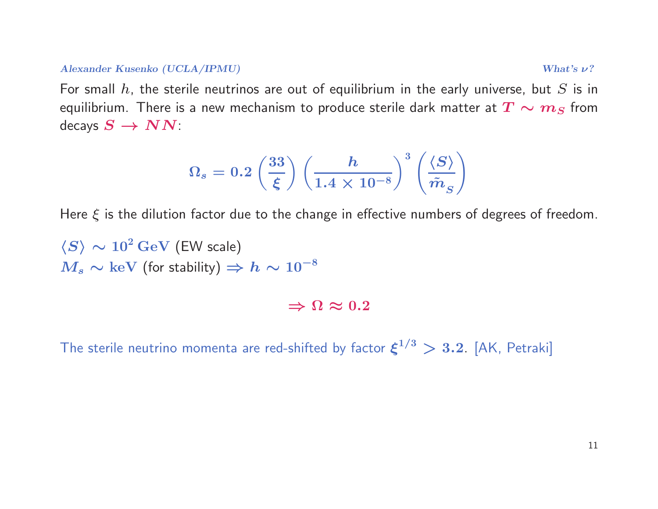#### $\Delta$ lexander Kusenko (UCLA/IPMU) What's  $\nu$ ?

For small  $h$ , the sterile neutrinos are out of equilibrium in the early universe, but  $S$  is in equilibrium. There is a new mechanism to produce sterile dark matter at  $\bm{T} \sim \bm{m}_S$  from<br>decays  $\bm{S} \rightarrow \bm{N} \bm{N}$ decays  $S \to NN$ :

$$
\Omega_s = 0.2 \left(\frac{33}{\xi}\right) \left(\frac{h}{1.4 \times 10^{-8}}\right)^3 \left(\frac{\langle S \rangle}{\tilde{m}_S}\right)
$$

Here  $\xi$  is the dilution factor due to the change in effective numbers of degrees of freedom.

$$
\langle S \rangle \sim 10^2 \,\text{GeV} \text{ (EW scale)}
$$
  

$$
M_s \sim \text{keV} \text{ (for stability)} \Rightarrow h \sim 10^{-8}
$$

 $\Rightarrow \Omega \approx 0.2$ 

The sterile neutrino momenta are red-shifted by factor  $\xi^{1/3} > 3.2$  [AK, Petraki]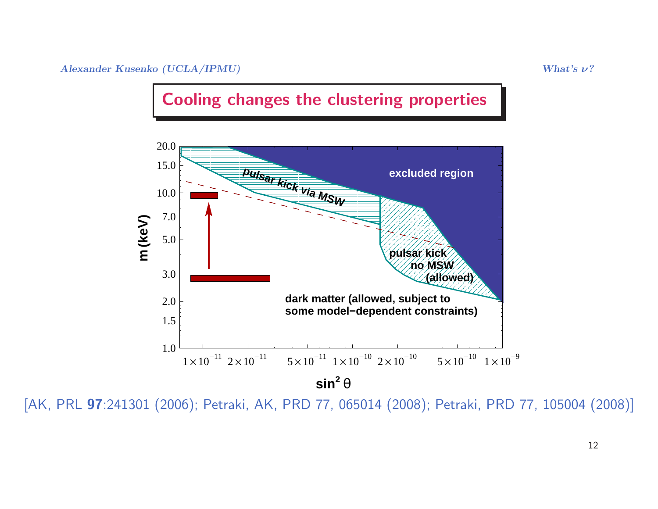



[AK, PRL <sup>97</sup>:241301 (2006); Petraki, AK, PRD 77, <sup>065014</sup> (2008); Petraki, PRD 77, <sup>105004</sup> (2008)]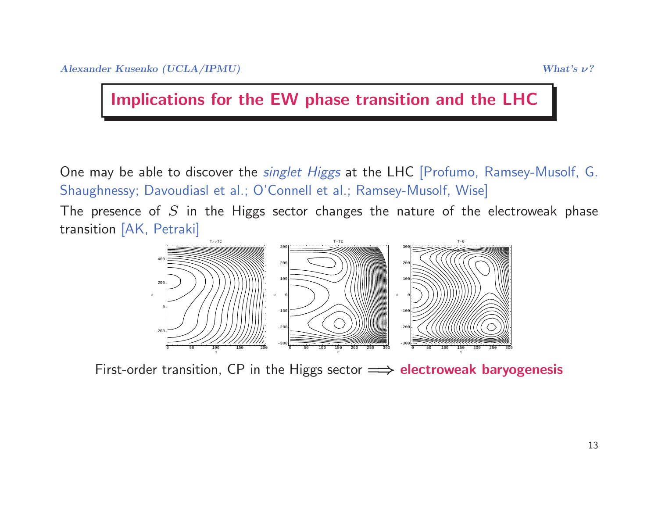Implications for the EW phase transition and the LHC

One may be able to discover the singlet Higgs at the LHC [Profumo, Ramsey-Musolf, G. Shaughnessy; Davoudiasl et al.; O'Connell et al.; Ramsey-Musolf, Wise]

The presence of  $S$  in the Higgs sector changes the nature of the electroweak phase transition [AK, Petraki]



First-order transition, CP in the Higgs sector  $\Longrightarrow$  **electroweak baryogenesis**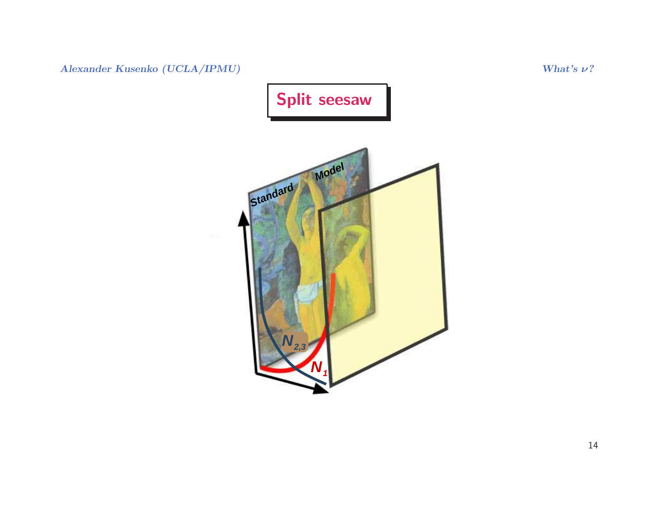Alexander Kusenko (UCLA/IPMU)

ν?

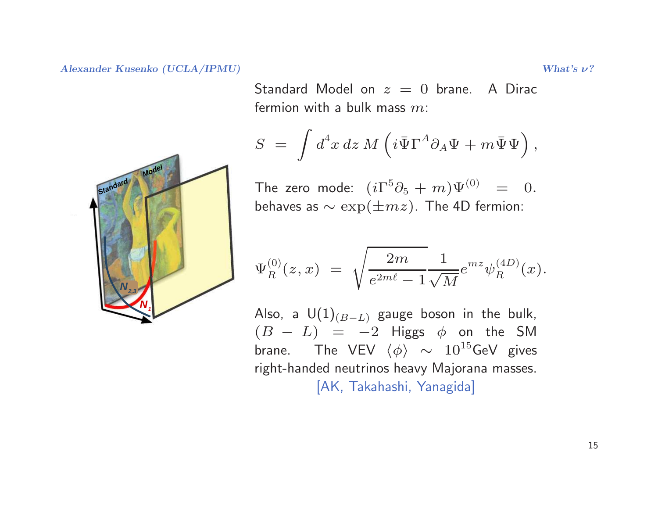$\Lambda$ lexander Kusenko (UCLA/IPMU) What's  $\nu$ ?

 $\quad$  Standard Model on  $z\,=\,0$  brane.  $\,$  A Dirac fermion with a bulk mass  $m$ :

$$
S = \int d^4x \, dz \, M \left( i \bar{\Psi} \Gamma^A \partial_A \Psi + m \bar{\Psi} \Psi \right),
$$

The zero mode:  $(i\Gamma^5\partial_5 + m)\Psi^{(0)} = 0.$ behaves as  $\sim \exp(\pm m z)$ . The 4D fermion:

$$
\Psi_R^{(0)}(z,x) \; = \; \sqrt{\frac{2m}{e^{2m\ell}-1}} \frac{1}{\sqrt{M}} e^{mz} \psi_R^{(4D)}(x).
$$

Also, a  $U(1)_{(B-L)}$  gauge boson in the bulk,  $(B - L) = -2$  Higgs  $\phi$  on the SM  $\frac{D}{\sigma}$  − brane. The VEV  $\langle \phi \rangle \ \sim \ 10^{15}$ GeV gives<br>right handed noutrines beaux Maiorana masses. right-handed neutrinos heavy Majorana masses. [AK, Takahashi, Yanagida]

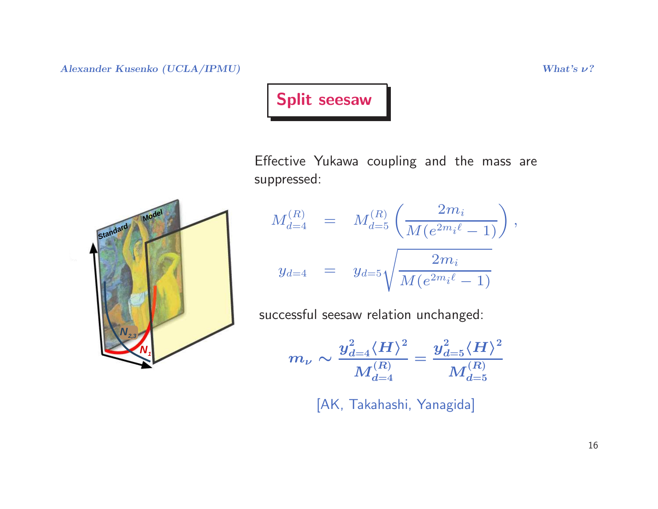$\Lambda$ lexander Kusenko (UCLA/IPMU) What's  $\nu$ ?

### Split seesaw

Effective Yukawa coupling and the mass are suppressed:

$$
M_{d=4}^{(R)} = M_{d=5}^{(R)} \left( \frac{2m_i}{M(e^{2m_i\ell} - 1)} \right),
$$
  

$$
y_{d=4} = y_{d=5} \sqrt{\frac{2m_i}{M(e^{2m_i\ell} - 1)}}
$$

successful seesaw relation unchanged:

$$
m_{\nu}\sim\frac{y^2_{d=4}{\langle H \rangle}^2}{M^{(R)}_{d=4}}=\frac{y^2_{d=5}{\langle H \rangle}^2}{M^{(R)}_{d=5}}
$$

[AK, Takahashi, Yanagida]

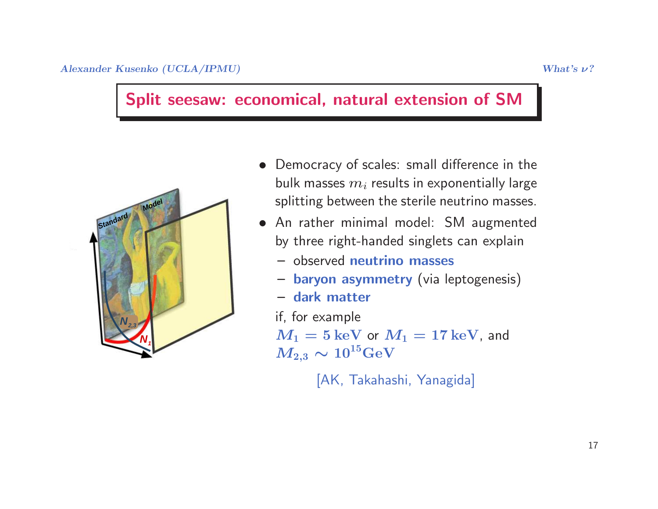#### Split seesaw: economical, natural extension of SM



- Democracy of scales: small difference in the bulk masses  $m_i$  results in exponentially large splitting between the sterile neutrino masses.
- An rather minimal model: SM augmented by three right-handed singlets can explain
	- observed neutrino masses
	- baryon asymmetry (via leptogenesis)
	- dark matter

if, for example

 $M_1 = 5 \, \mathrm{keV}$  or  $M_1 = 17 \, \mathrm{keV}$ , and  $M_{2,3} \sim$  $\sim 10^{15} \text{GeV}$ 

[AK, Takahashi, Yanagida]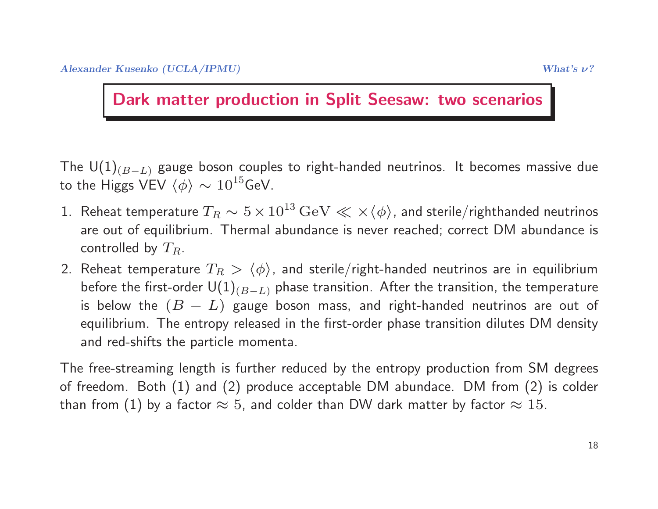#### Dark matter production in Split Seesaw: two scenarios

The  $U(1)_{(B-L)}$  gauge boson couples to right-handed neutrinos. It becomes massive due to the Higgs VEV  $\langle \phi \rangle \sim 10^{15}$ GeV.

- 1. Reheat temperature  $T_R \sim 5 \times 10^{13}\,{\rm GeV} \ll \times \langle \phi \rangle$ , and sterile/righthanded neutrinos are out of equilibrium. Thermal abundance is never reached; correct DM abundance is controlled by  $T_R$ .
- 2. Reheat temperature  $T_R > \langle \phi \rangle$ , and sterile/right-handed neutrinos are in equilibrium before the first-order  $U(1)_{(B-L)}$  phase transition. After the transition, the temperature is below the  $(B - L)$  gauge boson mass, and right-handed neutrinos are out of equilibrium. The entropy released in the first-order phase transition dilutes DM density and red-shifts the particle momenta.

The free-streaming length is further reduced by the entropy production from SM degrees of freedom. Both (1) and (2) produce acceptable DM abundace. DM from (2) is colder than from  $(1)$  by a factor  $\approx 5$ , and colder than DW dark matter by factor  $\approx 15$ .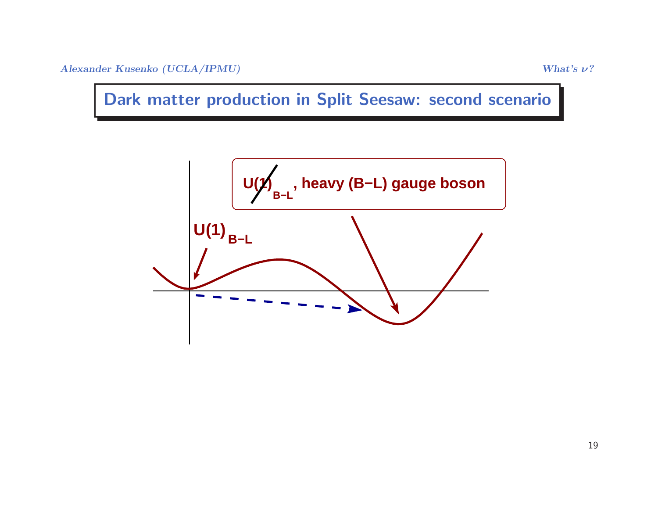Alexander Kusenko (UCLA/IPMU) What's  $\nu$ ?

Dark matter production in Split Seesaw: second scenario

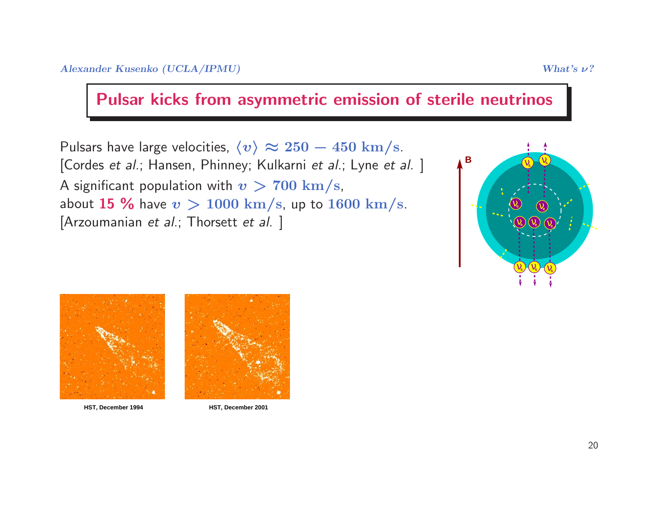#### Pulsar kicks from asymmetric emission of sterile neutrinos

Pulsars have large velocities,  $\langle v \rangle \thickapprox 250 - 450 \mathrm{~km/s}.$ [Cordes *et al.*; Hansen, Phinney; Kulkarni *et al.*; Lyne *et al.* ] A significant population with  $v > 700 \text{ km/s}$ ,<br>about **15 %** have  $v > 1000 \text{ km/s}$  up to 16 about **15 %** have  $v > 1000$  km/s, up to 1600 km/s.<br>[Arzoumanian *et al.*; Thorsett *et al.* ]







**HST, December 1994 HST, December 2001**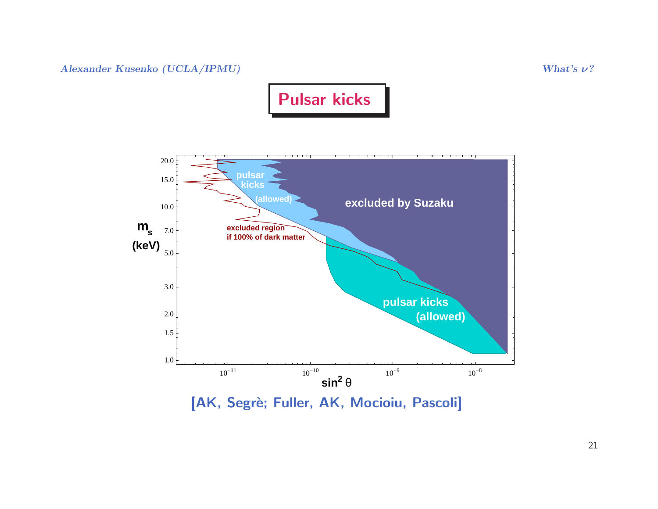Alexander Kusenko (UCLA/IPMU) What's  $\nu$ ?





[AK, Segrè; Fuller, AK, Mocioiu, Pascoli]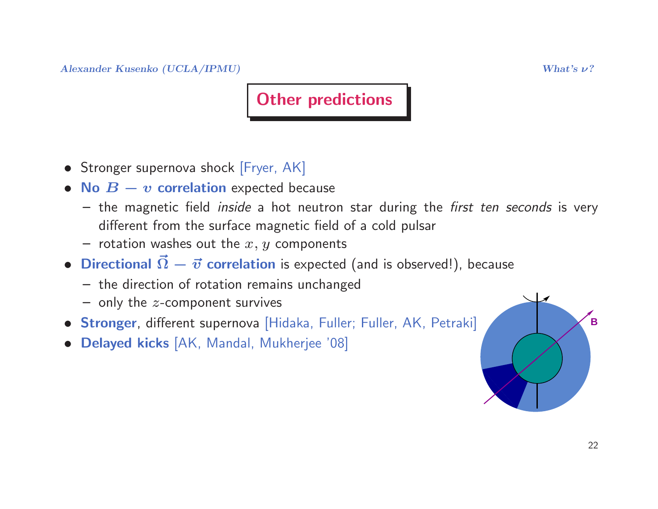# **Other predictions**

- Stronger supernova shock [Fryer, AK]
- No  $B v$  correlation expected because
	- $-$  the magnetic field *inside* a hot neutron star during the *first ten seconds* is very different from the surface magnetic field of <sup>a</sup> cold pulsar
	- rotation washes out the  $x,\,y$  components
- Directional  $\vec{\Omega}$  $\Omega-\vec{v}$  correlation is expected (and is observed!), because
	- the direction of rotation remains unchanged
	- $-$  only the  $z$ -component survives
- **Stronger**, different supernova [Hidaka, Fuller; Fuller, AK, Petraki]
- Delayed kicks [AK, Mandal, Mukherjee '08]

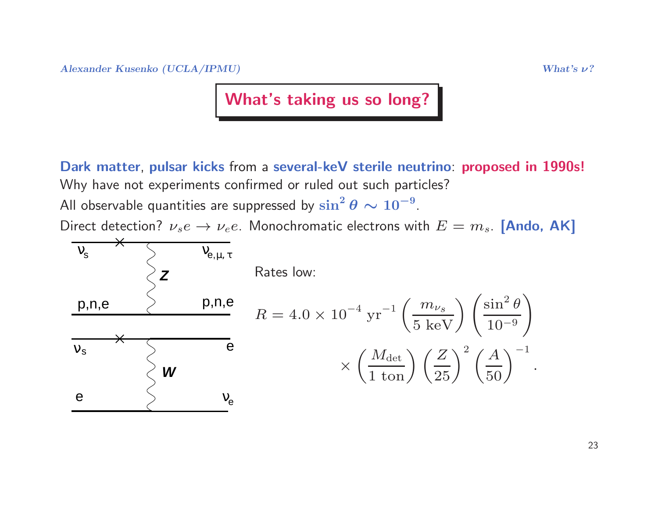#### What's taking us so long?

Dark matter, pulsar kicks from <sup>a</sup> several-keV sterile neutrino: proposed in 1990s! Why have not experiments confirmed or ruled out such particles? All observable quantities are suppressed by  $\sin^2\theta \sim$ All observable quantities are suppressed by  $\sin^2\theta \sim 10^{-9}$ .<br>Direct detection?  $\nu_s e \to \nu_e e$ . Monochromatic electrons wi

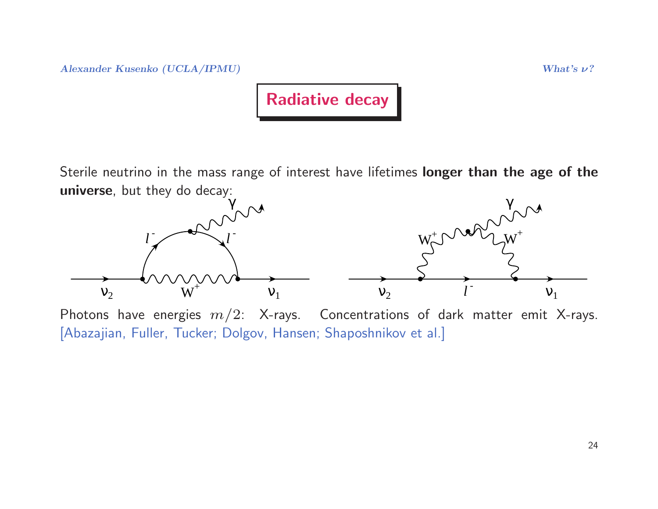$\Lambda$ lexander Kusenko (UCLA/IPMU) What's  $\nu$ ?



Sterile neutrino in the mass range of interest have lifetimes longer than the age of the universe, but they do decay:



Photons have energies  $m/2$ : X-rays. Concentrations of dark matter emit X-rays. [Abazajian, Fuller, Tucker; Dolgov, Hansen; Shaposhnikov et al.]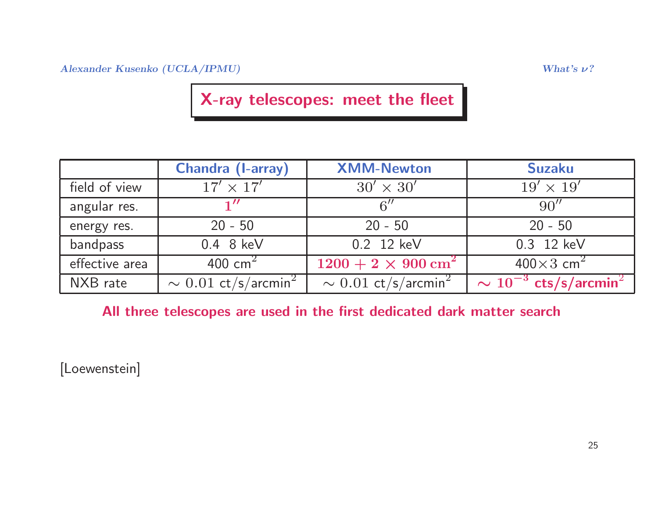Alexander Kusenko (UCLA/IPMU) What's  $\nu$ ?

### X-ray telescopes: meet the fleet

|                                   | <b>XMM-Newton</b>                     | <b>Suzaku</b>                            |
|-----------------------------------|---------------------------------------|------------------------------------------|
| $17' \times 17'$                  | $30' \times 30'$                      | $19' \times 19'$                         |
|                                   | $6^{\prime\prime}$                    | 90''                                     |
| $20 - 50$                         | $20 - 50$                             | $20 - 50$                                |
| $0.4$ 8 keV                       | 0.2 12 keV                            | 0.3 12 keV                               |
| 400 cm <sup>2</sup>               | $1200 + 2 \times 900$ cm <sup>2</sup> | $400\times3$ cm <sup>2</sup>             |
| $\sim 0.01 \text{ ct/s/arcmin}^2$ | $\sim 0.01 \text{ ct/s/arcmin}^2$     | $\sim 10^{-3}$ cts/s/arcmin <sup>2</sup> |
|                                   |                                       |                                          |

All three telescopes are used in the first dedicated dark matter search

[Loewenstein]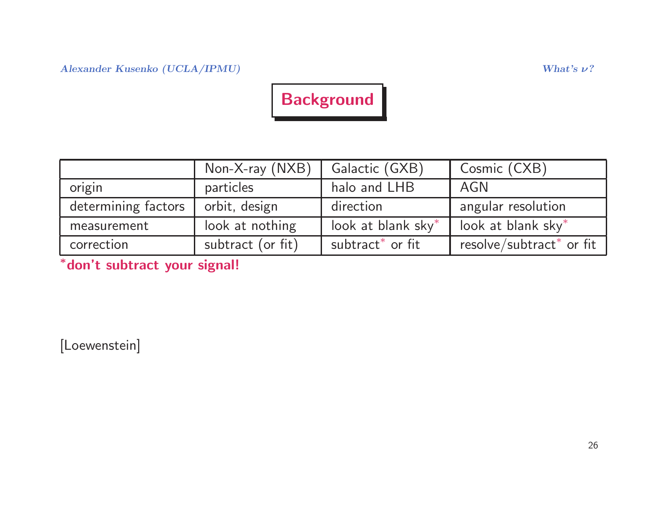# **Background**

|                     | Non-X-ray (NXB)   | Galactic (GXB)               | Cosmic (CXB)                         |
|---------------------|-------------------|------------------------------|--------------------------------------|
| origin              | particles         | halo and LHB                 | AGN                                  |
| determining factors | orbit, design     | direction                    | angular resolution                   |
| measurement         | look at nothing   | look at blank sky*           | look at blank sky*                   |
| correction          | subtract (or fit) | subtract <sup>*</sup> or fit | resolve/subtract <sup>*</sup> or fit |

<sup>∗</sup>don't subtract your signal!

[Loewenstein]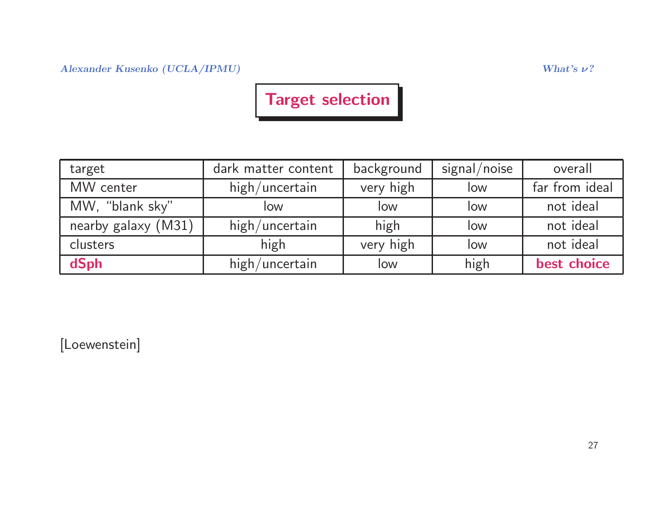Alexander Kusenko (UCLA/IPMU)  $W$ hat's  $\nu$ ?

## Target selection

| target              | dark matter content | background | signal/noise | overall        |
|---------------------|---------------------|------------|--------------|----------------|
| MW center           | high/uncertain      | very high  | low          | far from ideal |
| MW, "blank sky"     | low                 | low        | low          | not ideal      |
| nearby galaxy (M31) | high/uncertain      | high       | low          | not ideal      |
| clusters            | high                | very high  | low          | not ideal      |
| dSph                | high/uncertain      | low        | high         | best choice    |

[Loewenstein]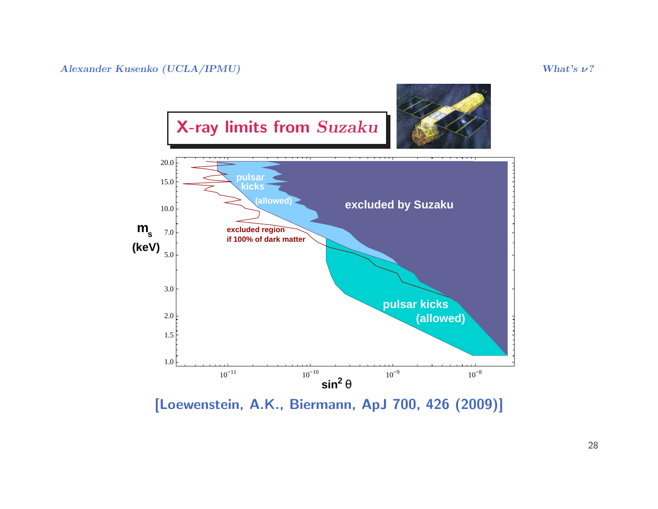

[Loewenstein, A.K., Biermann, ApJ 700, <sup>426</sup> (2009)]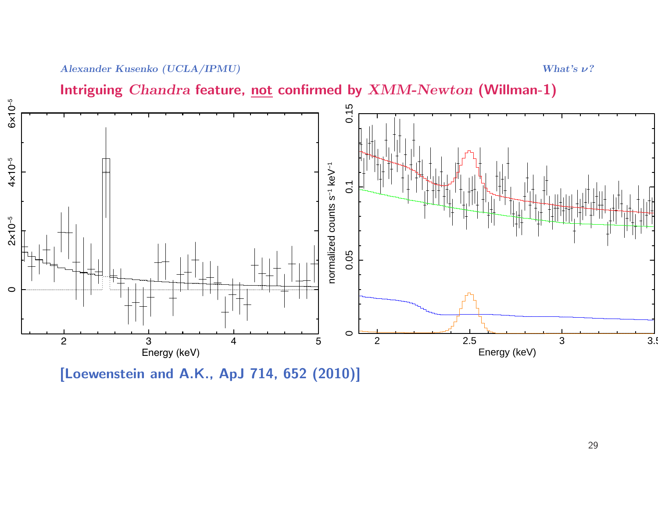Intriguing  $Chandra$  feature, <u>not</u> confirmed by  $XMM\text{-}Newton$  (Willman-1)



[Loewenstein and A.K., ApJ 714, <sup>652</sup> (2010)]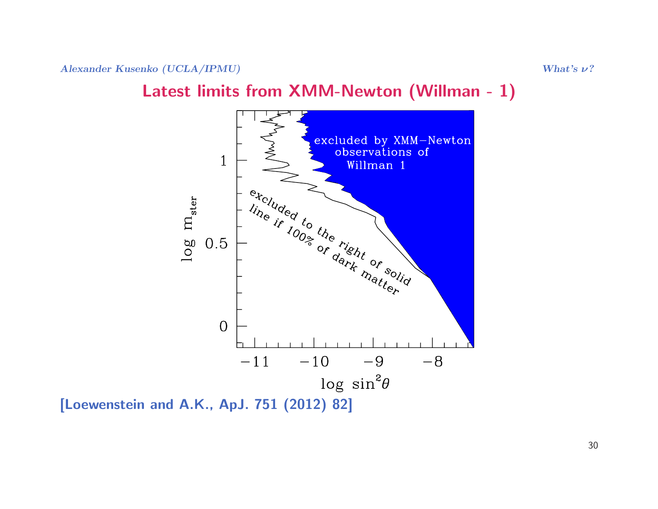#### Latest limits from XMM-Newton (Willman - 1)